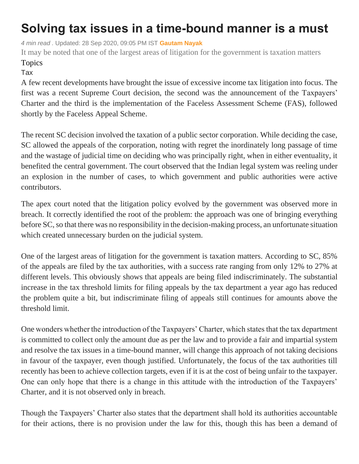## **Solving tax issues in a time-bound manner is a must**

*4 min read .* Updated: 28 Sep 2020, 09:05 PM IST **[Gautam Nayak](https://www.livemint.com/Search/Link/Author/Gautam-Nayak)**

It may be noted that one of the largest areas of litigation for the government is taxation matters

## Topics

## [Tax](https://www.livemint.com/topic/tax)

A few recent developments have brought the issue of excessive income tax litigation into focus. The first was a recent Supreme Court decision, the second was the announcement of the Taxpayers' Charter and the third is the implementation of the Faceless Assessment Scheme (FAS), followed shortly by the Faceless Appeal Scheme.

The recent SC decision involved the taxation of a public sector corporation. While deciding the case, SC allowed the appeals of the corporation, noting with regret the inordinately long passage of time and the wastage of judicial time on deciding who was principally right, when in either eventuality, it benefited the central government. The court observed that the Indian legal system was reeling under an explosion in the number of cases, to which government and public authorities were active contributors.

The apex court noted that the litigation policy evolved by the government was observed more in breach. It correctly identified the root of the problem: the approach was one of bringing everything before SC, so that there was no responsibility in the decision-making process, an unfortunate situation which created unnecessary burden on the judicial system.

One of the largest areas of litigation for the government is taxation matters. According to SC, 85% of the appeals are filed by the tax authorities, with a success rate ranging from only 12% to 27% at different levels. This obviously shows that appeals are being filed indiscriminately. The substantial increase in the tax threshold limits for filing appeals by the tax department a year ago has reduced the problem quite a bit, but indiscriminate filing of appeals still continues for amounts above the threshold limit.

One wonders whether the introduction of the Taxpayers' Charter, which states that the tax department is committed to collect only the amount due as per the law and to provide a fair and impartial system and resolve the tax issues in a time-bound manner, will change this approach of not taking decisions in favour of the taxpayer, even though justified. Unfortunately, the focus of the tax authorities till recently has been to achieve collection targets, even if it is at the cost of being unfair to the taxpayer. One can only hope that there is a change in this attitude with the introduction of the Taxpayers' Charter, and it is not observed only in breach.

Though the Taxpayers' Charter also states that the department shall hold its authorities accountable for their actions, there is no provision under the law for this, though this has been a demand of